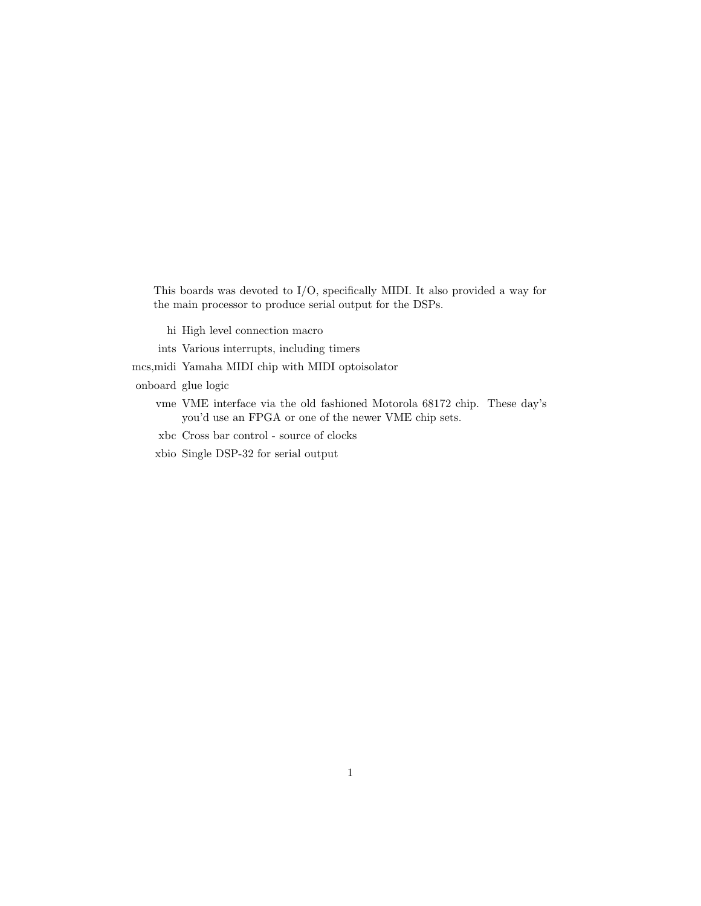This boards was devoted to I/O, specifically MIDI. It also provided a way for the main processor to produce serial output for the DSPs.

- hi High level connection macro
- ints Various interrupts, including timers

mcs,midi Yamaha MIDI chip with MIDI optoisolator

onboard glue logic

- vme VME interface via the old fashioned Motorola 68172 chip. These day's you'd use an FPGA or one of the newer VME chip sets.
- xbc Cross bar control source of clocks
- xbio Single DSP-32 for serial output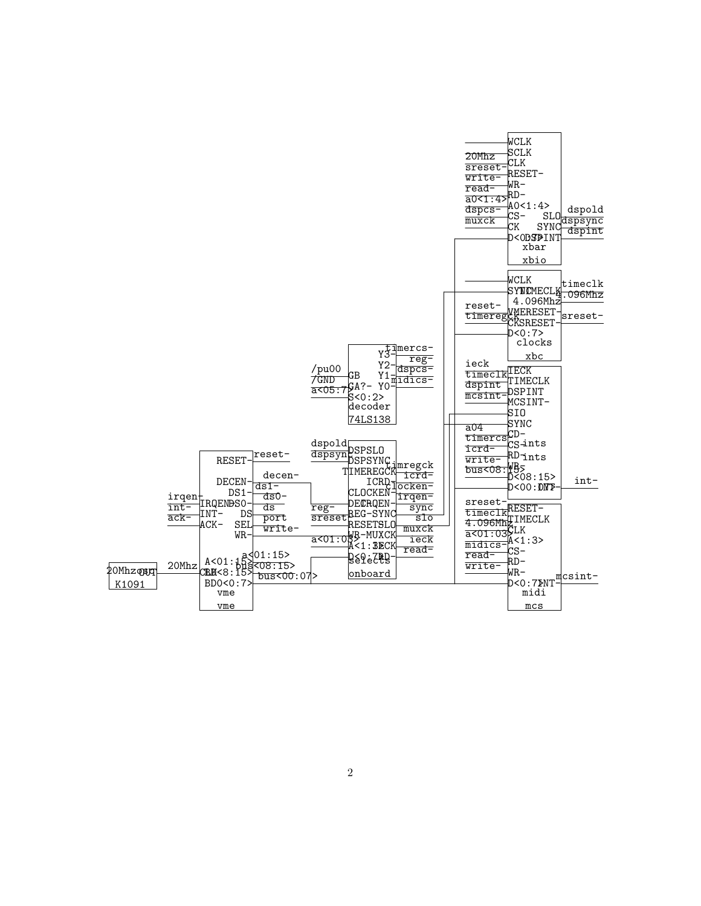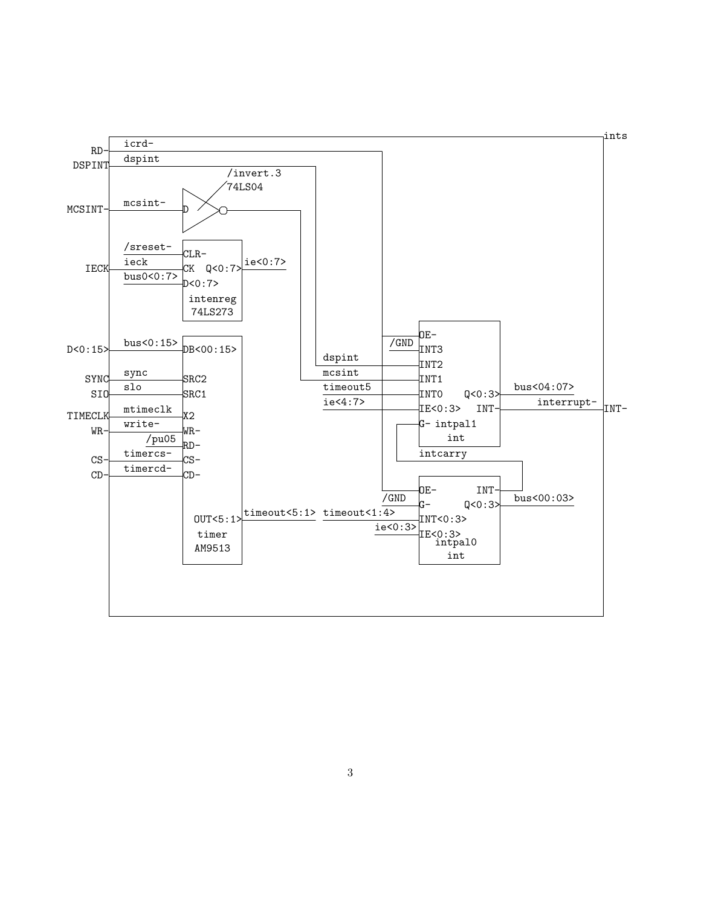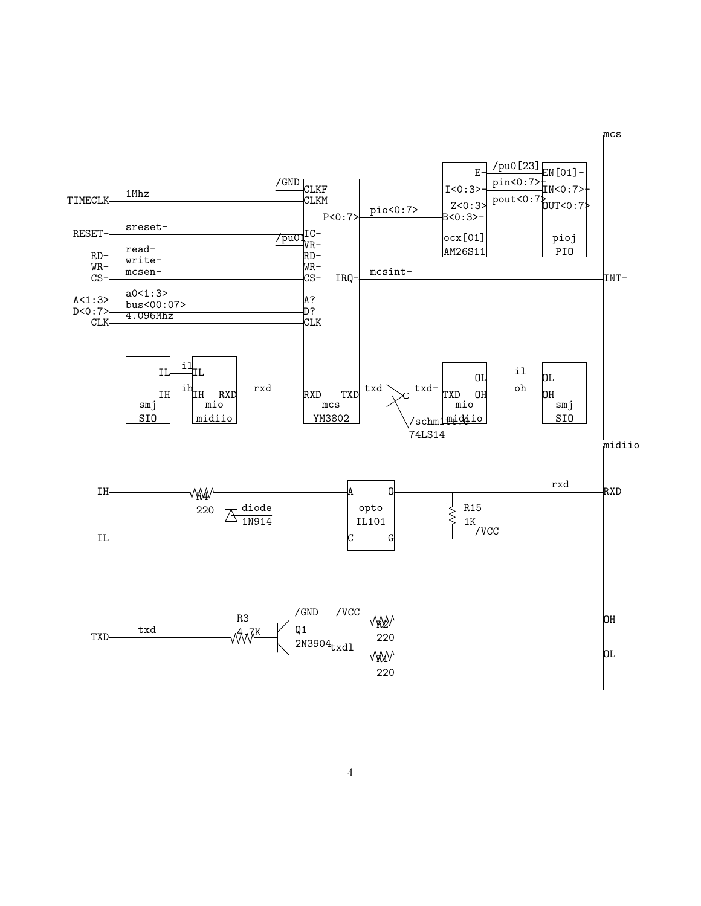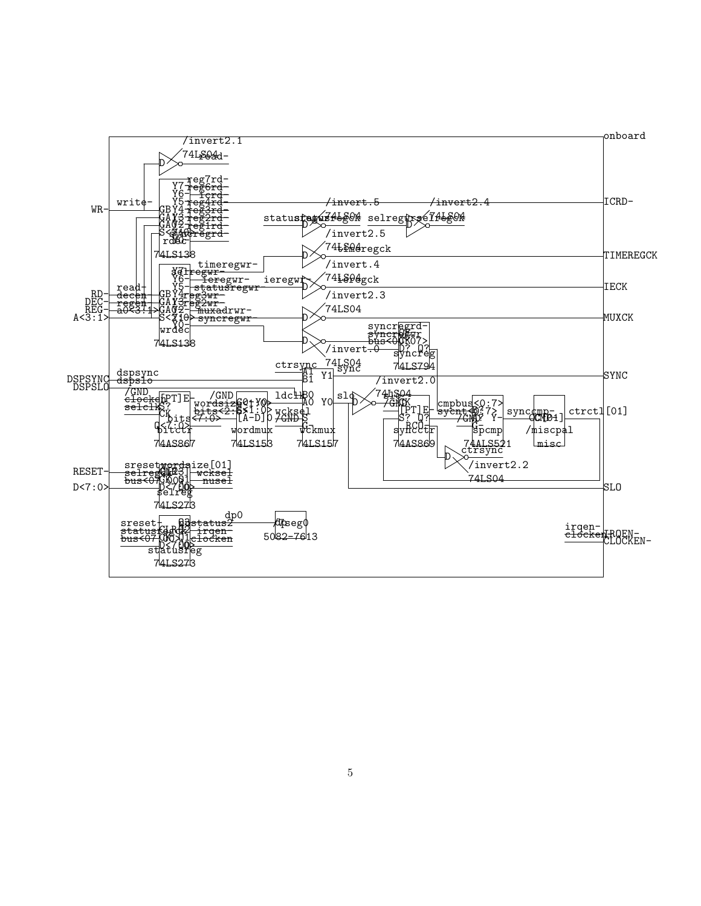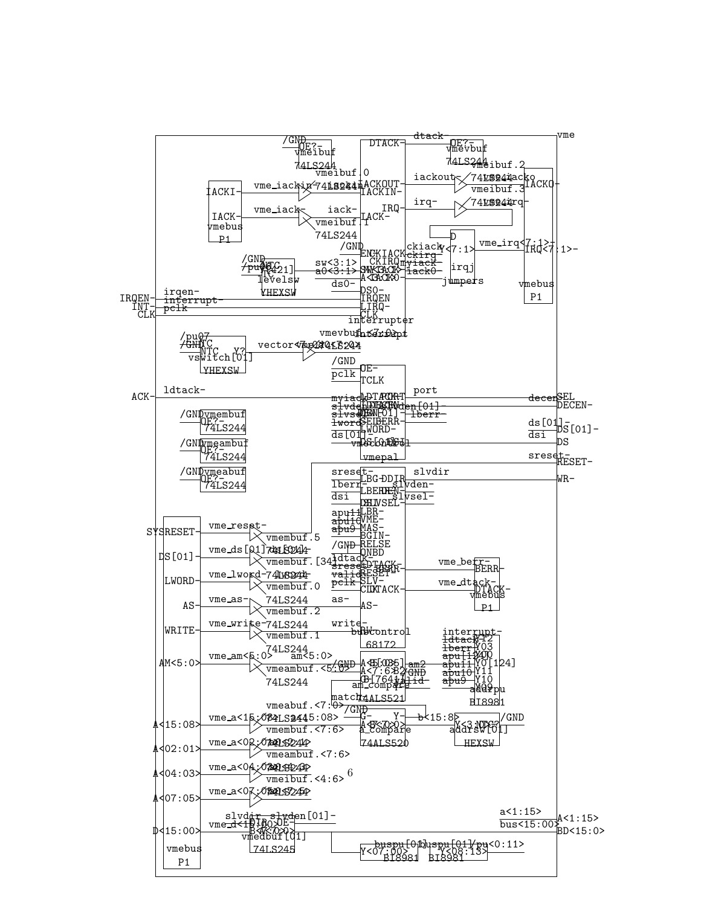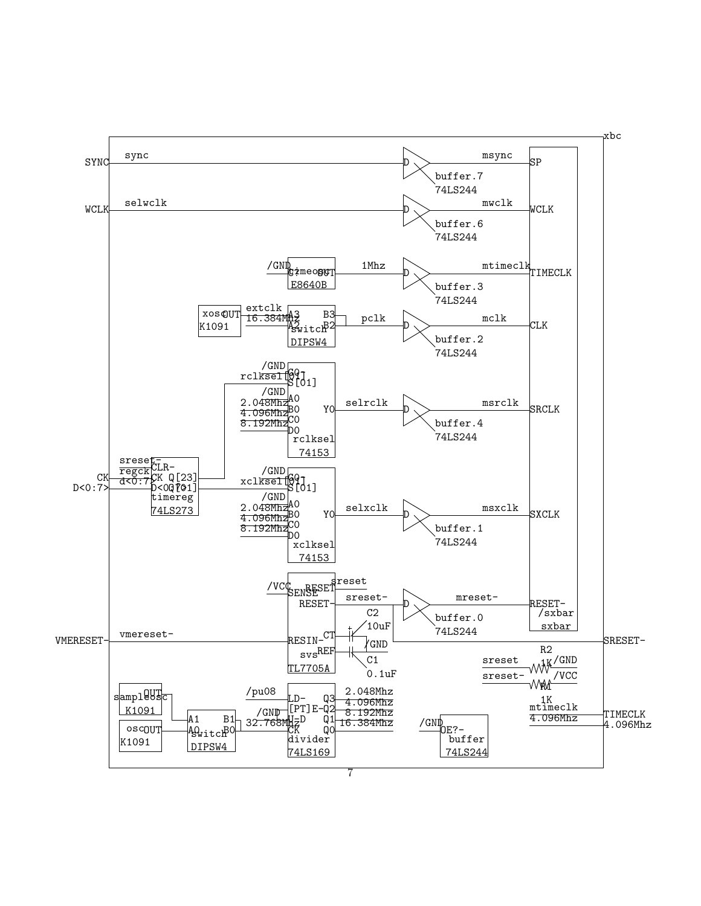